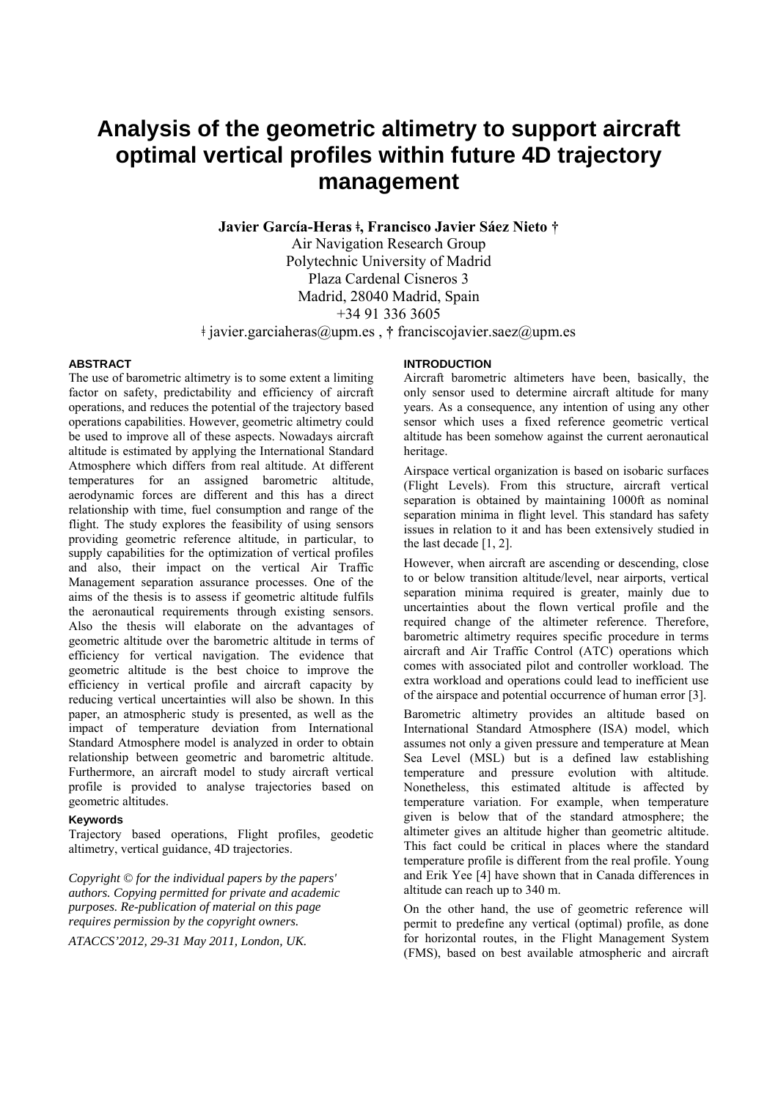# **Analysis of the geometric altimetry to support aircraft optimal vertical profiles within future 4D trajectory management**

**Javier García-Heras ǂ, Francisco Javier Sáez Nieto †** 

Air Navigation Research Group Polytechnic University of Madrid Plaza Cardenal Cisneros 3 Madrid, 28040 Madrid, Spain +34 91 336 3605

ǂ javier.garciaheras@upm.es , **†** franciscojavier.saez@upm.es

#### **ABSTRACT**

The use of barometric altimetry is to some extent a limiting factor on safety, predictability and efficiency of aircraft operations, and reduces the potential of the trajectory based operations capabilities. However, geometric altimetry could be used to improve all of these aspects. Nowadays aircraft altitude is estimated by applying the International Standard Atmosphere which differs from real altitude. At different temperatures for an assigned barometric altitude, aerodynamic forces are different and this has a direct relationship with time, fuel consumption and range of the flight. The study explores the feasibility of using sensors providing geometric reference altitude, in particular, to supply capabilities for the optimization of vertical profiles and also, their impact on the vertical Air Traffic Management separation assurance processes. One of the aims of the thesis is to assess if geometric altitude fulfils the aeronautical requirements through existing sensors. Also the thesis will elaborate on the advantages of geometric altitude over the barometric altitude in terms of efficiency for vertical navigation. The evidence that geometric altitude is the best choice to improve the efficiency in vertical profile and aircraft capacity by reducing vertical uncertainties will also be shown. In this paper, an atmospheric study is presented, as well as the impact of temperature deviation from International Standard Atmosphere model is analyzed in order to obtain relationship between geometric and barometric altitude. Furthermore, an aircraft model to study aircraft vertical profile is provided to analyse trajectories based on geometric altitudes.

#### **Keywords**

Trajectory based operations, Flight profiles, geodetic altimetry, vertical guidance, 4D trajectories.

*Copyright © for the individual papers by the papers' authors. Copying permitted for private and academic purposes. Re-publication of material on this page requires permission by the copyright owners.* 

*ATACCS'2012, 29-31 May 2011, London, UK.* 

## **INTRODUCTION**

Aircraft barometric altimeters have been, basically, the only sensor used to determine aircraft altitude for many years. As a consequence, any intention of using any other sensor which uses a fixed reference geometric vertical altitude has been somehow against the current aeronautical heritage.

Airspace vertical organization is based on isobaric surfaces (Flight Levels). From this structure, aircraft vertical separation is obtained by maintaining 1000ft as nominal separation minima in flight level. This standard has safety issues in relation to it and has been extensively studied in the last decade [1, 2].

However, when aircraft are ascending or descending, close to or below transition altitude/level, near airports, vertical separation minima required is greater, mainly due to uncertainties about the flown vertical profile and the required change of the altimeter reference. Therefore, barometric altimetry requires specific procedure in terms aircraft and Air Traffic Control (ATC) operations which comes with associated pilot and controller workload. The extra workload and operations could lead to inefficient use of the airspace and potential occurrence of human error [3].

Barometric altimetry provides an altitude based on International Standard Atmosphere (ISA) model, which assumes not only a given pressure and temperature at Mean Sea Level (MSL) but is a defined law establishing temperature and pressure evolution with altitude. Nonetheless, this estimated altitude is affected by temperature variation. For example, when temperature given is below that of the standard atmosphere; the altimeter gives an altitude higher than geometric altitude. This fact could be critical in places where the standard temperature profile is different from the real profile. Young and Erik Yee [4] have shown that in Canada differences in altitude can reach up to 340 m.

On the other hand, the use of geometric reference will permit to predefine any vertical (optimal) profile, as done for horizontal routes, in the Flight Management System (FMS), based on best available atmospheric and aircraft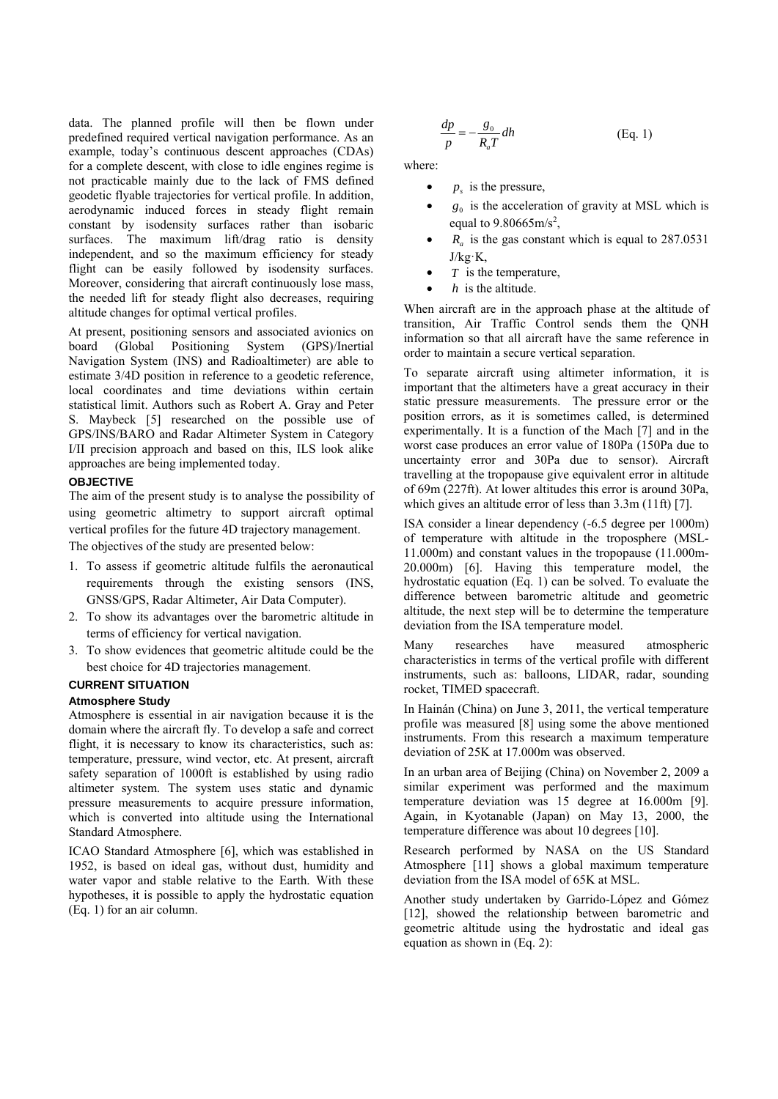data. The planned profile will then be flown under predefined required vertical navigation performance. As an example, today's continuous descent approaches (CDAs) for a complete descent, with close to idle engines regime is not practicable mainly due to the lack of FMS defined geodetic flyable trajectories for vertical profile. In addition, aerodynamic induced forces in steady flight remain constant by isodensity surfaces rather than isobaric surfaces. The maximum lift/drag ratio is density independent, and so the maximum efficiency for steady flight can be easily followed by isodensity surfaces. Moreover, considering that aircraft continuously lose mass, the needed lift for steady flight also decreases, requiring altitude changes for optimal vertical profiles.

At present, positioning sensors and associated avionics on board (Global Positioning System (GPS)/Inertial Navigation System (INS) and Radioaltimeter) are able to estimate 3/4D position in reference to a geodetic reference, local coordinates and time deviations within certain statistical limit. Authors such as Robert A. Gray and Peter S. Maybeck [5] researched on the possible use of GPS/INS/BARO and Radar Altimeter System in Category I/II precision approach and based on this, ILS look alike approaches are being implemented today.

#### **OBJECTIVE**

The aim of the present study is to analyse the possibility of using geometric altimetry to support aircraft optimal vertical profiles for the future 4D trajectory management.

The objectives of the study are presented below:

- 1. To assess if geometric altitude fulfils the aeronautical requirements through the existing sensors (INS, GNSS/GPS, Radar Altimeter, Air Data Computer).
- 2. To show its advantages over the barometric altitude in terms of efficiency for vertical navigation.
- 3. To show evidences that geometric altitude could be the best choice for 4D trajectories management.

#### **CURRENT SITUATION**

#### **Atmosphere Study**

Atmosphere is essential in air navigation because it is the domain where the aircraft fly. To develop a safe and correct flight, it is necessary to know its characteristics, such as: temperature, pressure, wind vector, etc. At present, aircraft safety separation of 1000ft is established by using radio altimeter system. The system uses static and dynamic pressure measurements to acquire pressure information, which is converted into altitude using the International Standard Atmosphere.

ICAO Standard Atmosphere [6], which was established in 1952, is based on ideal gas, without dust, humidity and water vapor and stable relative to the Earth. With these hypotheses, it is possible to apply the hydrostatic equation (Eq. 1) for an air column.

$$
\frac{dp}{p} = -\frac{g_0}{R_a T} dh
$$
 (Eq. 1)

where:

- $\bullet$  *p<sub>s</sub>* is the pressure,
- $g_0$  is the acceleration of gravity at MSL which is equal to  $9.80665 \text{m/s}^2$ ,
- $R_a$  is the gas constant which is equal to 287.0531 J/kg·K,
- $\bullet$  *T* is the temperature,
- *h* is the altitude.

When aircraft are in the approach phase at the altitude of transition, Air Traffic Control sends them the QNH information so that all aircraft have the same reference in order to maintain a secure vertical separation.

To separate aircraft using altimeter information, it is important that the altimeters have a great accuracy in their static pressure measurements. The pressure error or the position errors, as it is sometimes called, is determined experimentally. It is a function of the Mach [7] and in the worst case produces an error value of 180Pa (150Pa due to uncertainty error and 30Pa due to sensor). Aircraft travelling at the tropopause give equivalent error in altitude of 69m (227ft). At lower altitudes this error is around 30Pa, which gives an altitude error of less than 3.3m (11ft) [7].

ISA consider a linear dependency (-6.5 degree per 1000m) of temperature with altitude in the troposphere (MSL-11.000m) and constant values in the tropopause (11.000m-20.000m) [6]. Having this temperature model, the hydrostatic equation (Eq. 1) can be solved. To evaluate the difference between barometric altitude and geometric altitude, the next step will be to determine the temperature deviation from the ISA temperature model.

Many researches have measured atmospheric characteristics in terms of the vertical profile with different instruments, such as: balloons, LIDAR, radar, sounding rocket, TIMED spacecraft.

In Hainán (China) on June 3, 2011, the vertical temperature profile was measured [8] using some the above mentioned instruments. From this research a maximum temperature deviation of 25K at 17.000m was observed.

In an urban area of Beijing (China) on November 2, 2009 a similar experiment was performed and the maximum temperature deviation was 15 degree at 16.000m [9]. Again, in Kyotanable (Japan) on May 13, 2000, the temperature difference was about 10 degrees [10].

Research performed by NASA on the US Standard Atmosphere [11] shows a global maximum temperature deviation from the ISA model of 65K at MSL.

Another study undertaken by Garrido-López and Gómez [12], showed the relationship between barometric and geometric altitude using the hydrostatic and ideal gas equation as shown in (Eq. 2):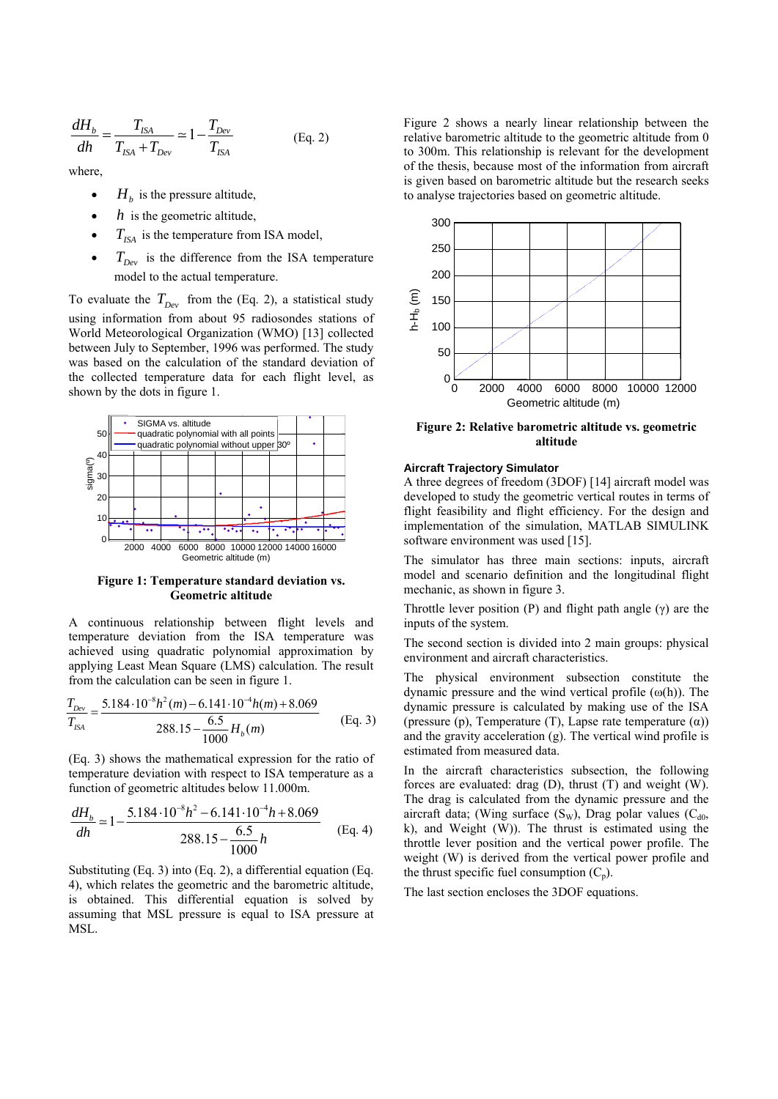$$
\frac{dH_b}{dh} = \frac{T_{ISA}}{T_{ISA} + T_{Dev}} \approx 1 - \frac{T_{Dev}}{T_{ISA}}
$$
 (Eq. 2)

where,

- $H<sub>b</sub>$  is the pressure altitude,
- *h* is the geometric altitude,
- $T_{ISA}$  is the temperature from ISA model,
- $T_{Dey}$  is the difference from the ISA temperature model to the actual temperature.

To evaluate the  $T_{Dev}$  from the (Eq. 2), a statistical study using information from about 95 radiosondes stations of World Meteorological Organization (WMO) [13] collected between July to September, 1996 was performed. The study was based on the calculation of the standard deviation of the collected temperature data for each flight level, as shown by the dots in figure 1.



**Figure 1: Temperature standard deviation vs. Geometric altitude** 

A continuous relationship between flight levels and temperature deviation from the ISA temperature was achieved using quadratic polynomial approximation by applying Least Mean Square (LMS) calculation. The result from the calculation can be seen in figure 1.

$$
\frac{T_{Dev}}{T_{ISA}} = \frac{5.184 \cdot 10^{-8} h^2(m) - 6.141 \cdot 10^{-4} h(m) + 8.069}{288.15 - \frac{6.5}{1000} H_b(m)}
$$
(Eq. 3)

(Eq. 3) shows the mathematical expression for the ratio of temperature deviation with respect to ISA temperature as a function of geometric altitudes below 11.000m.

$$
\frac{dH_b}{dh} \approx 1 - \frac{5.184 \cdot 10^{-8} h^2 - 6.141 \cdot 10^{-4} h + 8.069}{288.15 - \frac{6.5}{1000} h}
$$
 (Eq. 4)

Substituting (Eq. 3) into (Eq. 2), a differential equation (Eq. 4), which relates the geometric and the barometric altitude, is obtained. This differential equation is solved by assuming that MSL pressure is equal to ISA pressure at MSL.

Figure 2 shows a nearly linear relationship between the relative barometric altitude to the geometric altitude from 0 to 300m. This relationship is relevant for the development of the thesis, because most of the information from aircraft is given based on barometric altitude but the research seeks to analyse trajectories based on geometric altitude.



**Figure 2: Relative barometric altitude vs. geometric altitude** 

#### **Aircraft Trajectory Simulator**

A three degrees of freedom (3DOF) [14] aircraft model was developed to study the geometric vertical routes in terms of flight feasibility and flight efficiency. For the design and implementation of the simulation, MATLAB SIMULINK software environment was used [15].

The simulator has three main sections: inputs, aircraft model and scenario definition and the longitudinal flight mechanic, as shown in figure 3.

Throttle lever position (P) and flight path angle (γ) are the inputs of the system.

The second section is divided into 2 main groups: physical environment and aircraft characteristics.

The physical environment subsection constitute the dynamic pressure and the wind vertical profile  $(\omega(h))$ . The dynamic pressure is calculated by making use of the ISA (pressure (p), Temperature (T), Lapse rate temperature  $(\alpha)$ ) and the gravity acceleration (g). The vertical wind profile is estimated from measured data.

In the aircraft characteristics subsection, the following forces are evaluated: drag (D), thrust (T) and weight (W). The drag is calculated from the dynamic pressure and the aircraft data; (Wing surface  $(S_w)$ , Drag polar values  $(C_{d0}$ , k), and Weight (W)). The thrust is estimated using the throttle lever position and the vertical power profile. The weight (W) is derived from the vertical power profile and the thrust specific fuel consumption  $(C_p)$ .

The last section encloses the 3DOF equations.